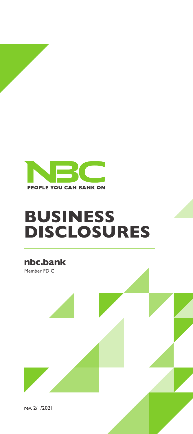

# **BUSINESS DISCLOSURES**

**nbc.bank**

Member FDIC

rev. 2/1/2021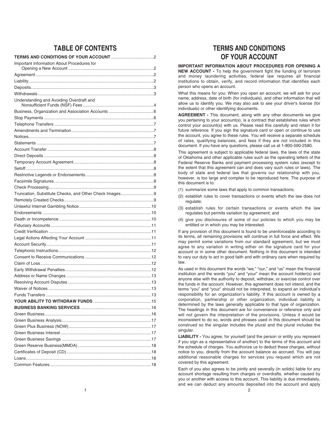# **TABLE OF CONTENTS**

| Important Information About Procedures for            |    |
|-------------------------------------------------------|----|
|                                                       |    |
|                                                       |    |
|                                                       |    |
|                                                       |    |
| Understanding and Avoiding Overdraft and              |    |
|                                                       |    |
|                                                       |    |
|                                                       |    |
|                                                       |    |
|                                                       |    |
|                                                       |    |
|                                                       |    |
|                                                       |    |
|                                                       |    |
|                                                       |    |
|                                                       |    |
|                                                       |    |
|                                                       |    |
| Truncation, Substitute Checks, and Other Check Images |    |
|                                                       |    |
|                                                       |    |
|                                                       |    |
|                                                       |    |
|                                                       |    |
|                                                       |    |
|                                                       |    |
|                                                       |    |
|                                                       |    |
|                                                       |    |
|                                                       |    |
|                                                       |    |
|                                                       |    |
|                                                       |    |
|                                                       |    |
|                                                       |    |
|                                                       |    |
|                                                       |    |
|                                                       |    |
|                                                       |    |
|                                                       |    |
|                                                       |    |
|                                                       |    |
|                                                       |    |
|                                                       |    |
|                                                       |    |
| Common Features                                       | 18 |

# **TERMS AND CONDITIONS OF YOUR ACCOUNT**

## **IMPORTANT INFORMATION ABOUT PROCEDURES FOR OPENING A**

**NEW ACCOUNT -** To help the government fight the funding of terrorism and money laundering activities, federal law requires all financial institutions to obtain, verify, and record information that identifies each person who opens an account.

What this means for you: When you open an account, we will ask for your name, address, date of birth (for individuals), and other information that will allow us to identify you. We may also ask to see your driver's license (for individuals) or other identifying documents.

**AG REEMENT -** This document, along with any other documents we give you pertaining to your account(s), is a contract that establishes rules which control your account(s) with us. Please read this carefully and retain it for future reference. If you sign the signature card or open or continue to use the account, you agree to these rules. You will receive a separate schedule of rates, qualifying balances, and fees if they are not included in this document. If you have any questions, please call us at 1-800-590-2580.

This agreement is subject to applicable federal laws, the laws of the state of Oklahoma and other applicable rules such as the operating letters of the Federal Reserve Banks and payment processing system rules (except to the extent that this agreement can and does vary such rules or laws). The body of state and federal law that governs our relationship with you, however, is too large and complex to be reproduced here. The purpose of this document is to:

- (1) summarize some laws that apply to common transactions;
- (2) establish rules to cover transactions or events which the law does not regulate;
- (3) establish rules for certain transactions or events which the law regulates but permits variation by agreement; and
- (4) give you disclosures of some of our policies to which you may be entitled or in which you may be interested.

If any provision of this document is found to be unenforceable according to its terms, all remaining provisions will continue in full force and effect. We may permit some variations from our standard agreement, but we must agree to any variation in writing either on the signature card for your account or in some other document. Nothing in this document is intended to vary our duty to act in good faith and with ordinary care when required by law.

As used in this document the words "we," "our," and "us" mean the financial institution and the words "you" and "your" mean the account holder(s) and anyone else with the authority to deposit, withdraw, or exercise control over the funds in the account. However, this agreement does not intend, and the terms "you" and "your" should not be interpreted, to expand an individual's responsibility for an organization's liability. If this account is owned by a corporation, partnership or other organization, individual liability is determined by the laws generally applicable to that type of organization. The headings in this document are for convenience or reference only and will not govern the interpretation of the provisions. Unless it would be inconsistent to do so, words and phrases used in this document should be construed so the singular includes the plural and the plural includes the singular.

**LIABILITY -** You agree, for yourself (and the person or entity you represent if you sign as a representative of another) to the terms of this account and the schedule of charges. You authorize us to deduct these charges, without notice to you, directly from the account balance as accrued. You will pay additional reasonable charges for services you request which are not covered by this agreement.

Each of you also agrees to be jointly and severally (in solido) liable for any account shortage resulting from charges or overdrafts, whether caused by you or another with access to this account. This liability is due immediately, and we can deduct any amounts deposited into the account and apply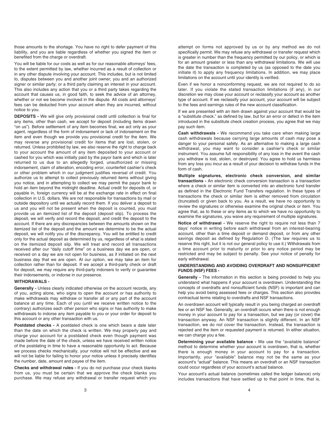those amounts to the shortage. You have no right to defer payment of this liability, and you are liable regardless of whether you signed the item or benefited from the charge or overdraft.

You will be liable for our costs as well as for our reasonable attorneys' fees, to the extent permitted by law, whether incurred as a result of collection or in any other dispute involving your account. This includes, but is not limited to, disputes between you and another joint owner; you and an authorized signer or similar party; or a third party claiming an interest in your account. This also includes any action that you or a third party takes regarding the account that causes us, in good faith, to seek the advice of an attorney, whether or not we become involved in the dispute. All costs and attorneys' fees can be deducted from your account when they are incurred, without notice to you.

**DEPOSITS -** We will give only provisional credit until collection is final for any items, other than cash, we accept for deposit (including items drawn "on us"). Before settlement of any item becomes final, we act only as your agent, regardless of the form of indorsement or lack of indorsement on the item and even though we provide you provisional credit for the item. We may reverse any provisional credit for items that are lost, stolen, or returned. Unless prohibited by law, we also reserve the right to charge back to your account the amount of any item deposited to your account or cashed for you which was initially paid by the payor bank and which is later returned to us due to an allegedly forged, unauthorized or missing indorsement, claim of alteration, encoding error, counterfeit cashier's check or other problem which in our judgment justifies reversal of credit. You authorize us to attempt to collect previously returned items without giving you notice, and in attempting to collect we may permit the payor bank to hold an item beyond the midnight deadline. Actual credit for deposits of, or payable in, foreign currency will be at the exchange rate in effect on final collection in U.S. dollars. We are not responsible for transactions by mail or outside depository until we actually record them. If you deliver a deposit to us and you will not be present when the deposit is counted, you must provide us an itemized list of the deposit (deposit slip). To process the deposit, we will verify and record the deposit, and credit the deposit to the account. If there are any discrepancies between the amounts shown on the itemized list of the deposit and the amount we determine to be the actual deposit, we will notify you of the discrepancy. You will be entitled to credit only for the actual deposit as determined by us, regardless of what is stated on the itemized deposit slip. We will treat and record all transactions received after our "daily cutoff time" on a business day we are open, or received on a day we are not open for business, as if initiated on the next business day that we are open. At our option, we may take an item for collection rather than for deposit. If we accept a third-party check or draft for deposit, we may require any third-party indorsers to verify or guarantee their indorsements, or indorse in our presence.

#### **WITHDRAWALS -**

**Generally -** Unless clearly indicated otherwise on the account records, any of you, acting alone, who signs to open the account or has authority to make withdrawals may withdraw or transfer all or any part of the account balance at any time. Each of you (until we receive written notice to the contrary) authorizes each other person who signs or has authority to make withdrawals to indorse any item payable to you or your order for deposit to this account or any other transaction with us.

**Postdated checks -** A postdated check is one which bears a date later than the date on which the check is written. We may properly pay and charge your account for a postdated check even though payment was made before the date of the check, unless we have received written notice of the postdating in time to have a reasonable opportunity to act. Because we process checks mechanically, your notice will not be effective and we will not be liable for failing to honor your notice unless it precisely identifies the number, date, amount and payee of the item.

**Checks and withdrawal rules -** If you do not purchase your check blanks from us, you must be certain that we approve the check blanks you purchase. We may refuse any withdrawal or transfer request which you

attempt on forms not approved by us or by any method we do not specifically permit. We may refuse any withdrawal or transfer request which is greater in number than the frequency permitted by our policy, or which is for an amount greater or less than any withdrawal limitations. We will use the date the transaction is completed by us (as opposed to the date you initiate it) to apply any frequency limitations. In addition, we may place limitations on the account until your identity is verified.

Even if we honor a nonconforming request, we are not required to do so later. If you violate the stated transaction limitations (if any), in our discretion we may close your account or reclassify your account as another type of account. If we reclassify your account, your account will be subject to the fees and earnings rules of the new account classification.

If we are presented with an item drawn against your account that would be a "substitute check," as defined by law, but for an error or defect in the item introduced in the substitute check creation process, you agree that we may pay such item.

**Cash withdrawals -** We recommend you take care when making large cash withdrawals because carrying large amounts of cash may pose a danger to your personal safety. As an alternative to making a large cash withdrawal, you may want to consider a cashier's check or similar instrument. You assume full responsibility of any loss in the event the cash you withdraw is lost, stolen, or destroyed. You agree to hold us harmless from any loss you incur as a result of your decision to withdraw funds in the form of cash.

**Multiple signatures, electronic check conversion, and similar transactions -** An electronic check conversion transaction is a transaction where a check or similar item is converted into an electronic fund transfer as defined in the Electronic Fund Transfers regulation. In these types of transactions the check or similar item is either removed from circulation (truncated) or given back to you. As a result, we have no opportunity to review the signatures or otherwise examine the original check or item. You agree that, as to these or any items as to which we have no opportunity to examine the signatures, you waive any requirement of multiple signatures.

**Notice of withdrawal -** We reserve the right to require not less than 7 days' notice in writing before each withdrawal from an interest-bearing account, other than a time deposit or demand deposit, or from any other savings deposit as defined by Regulation D. (The law requires us to reserve this right, but it is not our general policy to use it.) Withdrawals from a time account prior to maturity or prior to any notice period may be restricted and may be subject to penalty. See your notice of penalty for early withdrawal.

## **UNDERSTANDING AND AVOIDING OVERDRAFT AND NONSUFFICIENT FUNDS (NSF) FEES -**

**Generally -** The information in this section is being provided to help you understand what happens if your account is overdrawn. Understanding the concepts of overdrafts and nonsufficient funds (NSF) is important and can help you avoid being assessed fees or charges. This section also provides contractual terms relating to overdrafts and NSF transactions.

An overdrawn account will typically result in you being charged an overdraft fee or an NSF fee. Generally, an overdraft occurs when there is not enough money in your account to pay for a transaction, but we pay (or cover) the transaction anyway. An NSF transaction is slightly different. In an NSF transaction, we do not cover the transaction. Instead, the transaction is rejected and the item or requested payment is returned. In either situation, we can charge you a fee.

**Determining your available balance -** We use the "available balance" method to determine whether your account is overdrawn, that is, whether there is enough money in your account to pay for a transaction. Importantly, your "available" balance may not be the same as your account's "actual" balance. This means an overdraft or an NSF transaction could occur regardless of your account's actual balance.

Your account's actual balance (sometimes called the ledger balance) only includes transactions that have settled up to that point in time, that is,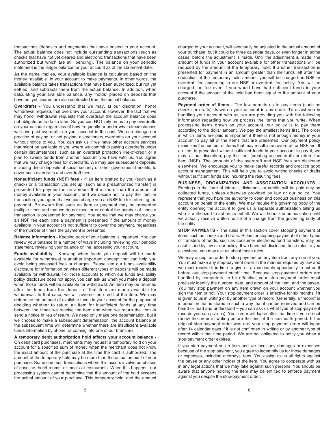transactions (deposits and payments) that have posted to your account. The actual balance does not include outstanding transactions (such as checks that have not yet cleared and electronic transactions that have been authorized but which are still pending). The balance on your periodic statement is the ledger balance for your account as of the statement date.

As the name implies, your available balance is calculated based on the money "available" in your account to make payments. In other words, the available balance takes transactions that have been authorized, but not yet settled, and subtracts them from the actual balance. In addition, when calculating your available balance, any "holds" placed on deposits that have not yet cleared are also subtracted from the actual balance.

**Overdrafts -** You understand that we may, at our discretion, honor withdrawal requests that overdraw your account. However, the fact that we may honor withdrawal requests that overdraw the account balance does not obligate us to do so later. So you can NOT rely on us to pay overdrafts on your account regardless of how frequently or under what circumstances we have paid overdrafts on your account in the past. We can change our practice of paying, or not paying, discretionary overdrafts on your account without notice to you. You can ask us if we have other account services that might be available to you where we commit to paying overdrafts under certain circumstances, such as an overdraft protection line-of-credit or a plan to sweep funds from another account you have with us. You agree that we may charge fees for overdrafts. We may use subsequent deposits, including direct deposits of social security or other government benefits, to cover such overdrafts and overdraft fees.

**Nonsufficient funds (NSF) fees -** If an item drafted by you (such as a check) or a transaction you set up (such as a preauthorized transfer) is presented for payment in an amount that is more than the amount of money available in your account, and we decide not to pay the item or transaction, you agree that we can charge you an NSF fee for returning the payment. Be aware that such an item or payment may be presented multiple times and that we do not monitor or control the number of times a transaction is presented for payment. You agree that we may charge you an NSF fee each time a payment is presented if the amount of money available in your account is not sufficient to cover the payment, regardless of the number of times the payment is presented.

**Balance information - Keeping track of your balance is important. You can** review your balance in a number of ways including reviewing your periodic statement, reviewing your balance online, accessing your account.

**Funds availability -** Knowing when funds you deposit will be made available for withdrawal is another important concept that can help you avoid being assessed fees or charges. Please see our funds availability disclosure for information on when different types of deposits will be made available for withdrawal. For those accounts to which our funds availability policy disclosure does not apply, you can ask us when you make a deposit when those funds will be available for withdrawal. An item may be returned after the funds from the deposit of that item are made available for withdrawal. In that case, we will reverse the credit of the item. We may determine the amount of available funds in your account for the purpose of deciding whether to return an item for insufficient funds at any time between the times we receive the item and when we return the item or send a notice in lieu of return. We need only make one determination, but if we choose to make a subsequent determination, the account balance at the subsequent time will determine whether there are insufficient available funds.information by phone, or coming into one of our branches.

**A temporary debit authorization hold affects your account balance -** On debit card purchases, merchants may request a temporary hold on your account for a specified sum of money when the merchant does not know the exact amount of the purchase at the time the card is authorized. The amount of the temporary hold may be more than the actual amount of your purchase. Some common transactions where this occurs involve purchases of gasoline, hotel rooms, or meals at restaurants. When this happens, our processing system cannot determine that the amount of the hold exceeds the actual amount of your purchase. This temporary hold, and the amount

charged to your account, will eventually be adjusted to the actual amount of your purchase, but it could be three calendar days, or even longer in some cases, before the adjustment is made. Until the adjustment is made, the amount of funds in your account available for other transactions will be reduced by the amount of the temporary hold. If another transaction is presented for payment in an amount greater than the funds left after the deduction of the temporary hold amount, you will be charged an NSF or overdraft fee according to our NSF or overdraft fee policy. You will be charged the fee even if you would have had sufficient funds in your account if the amount of the hold had been equal to the amount of your purchase.

Payment order of Items - The law permits us to pay items (such as checks or drafts) drawn on your account in any order. To assist you in handling your account with us, we are providing you with the following information regarding how we process the items that you write. When processing items drawn on your account, our policy is to pay them according to the dollar amount. We pay the smallest items first. The order in which items are paid is important if there is not enough money in your account to pay all of the items that are presented. Our payment policy minimizes the number of items that may result in an overdraft or NSF fee. If an item is presented without sufficient funds in your account to pay it, we may, at our discretion, pay the item (creating an overdraft) or return the item (NSF). The amounts of the overdraft and NSF fees are disclosed elsewhere. We encourage you to make careful records and practice good account management. This will help you to avoid writing checks or drafts without sufficient funds and incurring the resulting fees.

**BUSINESS, ORGANIZATION AND ASSOCIATION ACCOUNTS -**  Earnings in the form of interest, dividends, or credits will be paid only on collected funds, unless otherwise provided by law or our policy. You represent that you have the authority to open and conduct business on this account on behalf of the entity. We may require the governing body of the entity opening the account to give us a separate authorization telling us who is authorized to act on its behalf. We will honor the authorization until we actually receive written notice of a change from the governing body of the entity.

**STOP PAYMENTS - The rules in this section cover stopping payment of** items such as checks and drafts. Rules for stopping payment of other types of transfers of funds, such as consumer electronic fund transfers, may be established by law or our policy. If we have not disclosed these rules to you elsewhere, you may ask us about those rules.

We may accept an order to stop payment on any item from any one of you. You must make any stop-payment order in the manner required by law and we must receive it in time to give us a reasonable opportunity to act on it before our stop-payment cutoff time. Because stop-payment orders are handled by computers, to be effective, your stop-payment order must precisely identify the number, date, and amount of the item, and the payee. You may stop payment on any item drawn on your account whether you sign the item or not. Your stop-payment order is effective for six months if it is given to us in writing or by another type of record (Generally, a "record" is information that is stored in such a way that it can be retrieved and can be heard or read and understood – you can ask us what type of stop-payment records you can give us). Your order will lapse after that time if you do not renew the order in writing before the end of the six-month period. If the original stop-payment order was oral your stop-payment order will lapse after 14 calendar days if it is not confirmed in writing or by another type of record within that time period. We are not obligated to notify you when a stop-payment order expires.

If you stop payment on an item and we incur any damages or expenses because of the stop payment, you agree to indemnify us for those damages or expenses, including attorneys' fees. You assign to us all rights against the payee or any other holder of the item. You agree to cooperate with us in any legal actions that we may take against such persons. You should be aware that anyone holding the item may be entitled to enforce payment against you despite the stop-payment order.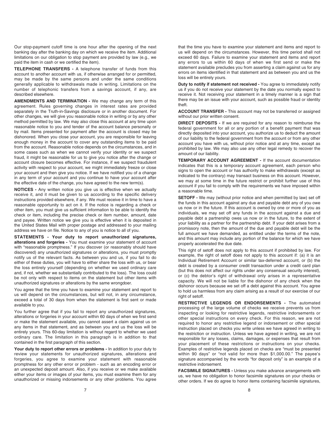Our stop-payment cutoff time is one hour after the opening of the next banking day after the banking day on which we receive the item. Additional limitations on our obligation to stop payment are provided by law (e.g., we paid the item in cash or we certified the item).

**TELEPHONE TRANSFERS -** A telephone transfer of funds from this account to another account with us, if otherwise arranged for or permitted, may be made by the same persons and under the same conditions generally applicable to withdrawals made in writing. Limitations on the number of telephonic transfers from a savings account, if any, are described elsewhere.

**AMENDMENTS AND TERMINATION -** We may change any term of this agreement. Rules governing changes in interest rates are provided separately in the Truth-in-Savings disclosure or in another document. For other changes, we will give you reasonable notice in writing or by any other method permitted by law. We may also close this account at any time upon reasonable notice to you and tender of the account balance personally or by mail. Items presented for payment after the account is closed may be dishonored. When you close your account, you are responsible for leaving enough money in the account to cover any outstanding items to be paid from the account. Reasonable notice depends on the circumstances, and in some cases such as when we cannot verify your identity or we suspect fraud, it might be reasonable for us to give you notice after the change or account closure becomes effective. For instance, if we suspect fraudulent activity with respect to your account, we might immediately freeze or close your account and then give you notice. If we have notified you of a change in any term of your account and you continue to have your account after the effective date of the change, you have agreed to the new term(s).

**NOTICES -** Any written notice you give us is effective when we actually receive it, and it must be given to us according to the specific delivery instructions provided elsewhere, if any. We must receive it in time to have a reasonable opportunity to act on it. If the notice is regarding a check or other item, you must give us sufficient information to be able to identify the check or item, including the precise check or item number, amount, date and payee. Written notice we give you is effective when it is deposited in the United States Mail with proper postage and addressed to your mailing address we have on file. Notice to any of you is notice to all of you.

**STATEMENTS - Your duty to report unauthorized signatures, alterations and forgeries -** You must examine your statement of account with "reasonable promptness." If you discover (or reasonably should have discovered) any unauthorized signatures or alterations, you must promptly notify us of the relevant facts. As between you and us, if you fail to do either of these duties, you will have to either share the loss with us, or bear the loss entirely yourself (depending on whether we used ordinary care and, if not, whether we substantially contributed to the loss). The loss could be not only with respect to items on the statement but other items with unauthorized signatures or alterations by the same wrongdoer.

You agree that the time you have to examine your statement and report to us will depend on the circumstances, but will not, in any circumstance, exceed a total of 30 days from when the statement is first sent or made available to you.

You further agree that if you fail to report any unauthorized signatures, alterations or forgeries in your account within 60 days of when we first send or make the statement available, you cannot assert a claim against us on any items in that statement, and as between you and us the loss will be entirely yours. This 60-day limitation is without regard to whether we used ordinary care. The limitation in this paragraph is in addition to that contained in the first paragraph of this section.

**Your duty to report other errors or problems -** In addition to your duty to review your statements for unauthorized signatures, alterations and forgeries, you agree to examine your statement with reasonable promptness for any other error or problem - such as an encoding error or an unexpected deposit amount. Also, if you receive or we make available either your items or images of your items, you must examine them for any unauthorized or missing indorsements or any other problems. You agree

that the time you have to examine your statement and items and report to us will depend on the circumstances. However, this time period shall not exceed 60 days. Failure to examine your statement and items and report any errors to us within 60 days of when we first send or make the statement available precludes you from asserting a claim against us for any errors on items identified in that statement and as between you and us the loss will be entirely yours.

**Duty to notify if statement not received -** You agree to immediately notify us if you do not receive your statement by the date you normally expect to receive it. Not receiving your statement in a timely manner is a sign that there may be an issue with your account, such as possible fraud or identity theft.

**ACCOUNT TRANSFER -** This account may not be transferred or assigned without our prior written consent.

**DIRECT DEPOSITS -** If we are required for any reason to reimburse the federal government for all or any portion of a benefit payment that was directly deposited into your account, you authorize us to deduct the amount of our liability to the federal government from the account or from any other account you have with us, without prior notice and at any time, except as prohibited by law. We may also use any other legal remedy to recover the amount of our liability.

**TEMPORARY ACCOUNT AGREEMENT -** If the account documentation indicates that this is a temporary account agreement, each person who signs to open the account or has authority to make withdrawals (except as indicated to the contrary) may transact business on this account. However, we may at some time in the future restrict or prohibit further use of this account if you fail to comply with the requirements we have imposed within a reasonable time.

**SETOFF -** We may (without prior notice and when permitted by law) set off the funds in this account against any due and payable debt any of you owe us now or in the future. If this account is owned by one or more of you as individuals, we may set off any funds in the account against a due and payable debt a partnership owes us now or in the future, to the extent of your liability as a partner for the partnership debt. If your debt arises from a promissory note, then the amount of the due and payable debt will be the full amount we have demanded, as entitled under the terms of the note, and this amount may include any portion of the balance for which we have properly accelerated the due date.

This right of setoff does not apply to this account if prohibited by law. For example, the right of setoff does not apply to this account if: (a) it is an Individual Retirement Account or similar tax-deferred account, or (b) the debt is created by a consumer credit transaction under a credit card plan (but this does not affect our rights under any consensual security interest), or (c) the debtor's right of withdrawal only arises in a representative capacity. We will not be liable for the dishonor of any check when the dishonor occurs because we set off a debt against this account. You agree to hold us harmless from any claim arising as a result of our exercise of our right of setoff.

**RESTRICTIVE LEGENDS OR ENDORSEMENTS -** The automated processing of the large volume of checks we receive prevents us from inspecting or looking for restrictive legends, restrictive indorsements or other special instructions on every check. For this reason, we are not required to honor any restrictive legend or indorsement or other special instruction placed on checks you write unless we have agreed in writing to the restriction or instruction. Unless we have agreed in writing, we are not responsible for any losses, claims, damages, or expenses that result from your placement of these restrictions or instructions on your checks. Examples of restrictive legends placed on checks are "must be presented within 90 days" or "not valid for more than \$1,000.00." The payee's signature accompanied by the words "for deposit only" is an example of a restrictive indorsement.

**FACSIMILE SIGNATURES -** Unless you make advance arrangements with us, we have no obligation to honor facsimile signatures on your checks or other orders. If we do agree to honor items containing facsimile signatures,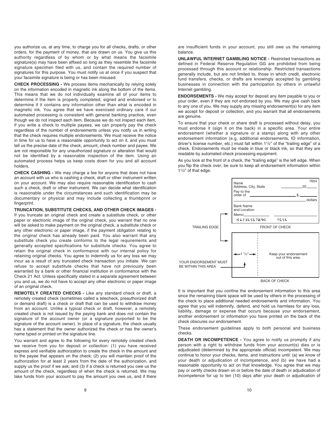you authorize us, at any time, to charge you for all checks, drafts, or other orders, for the payment of money, that are drawn on us. You give us this authority regardless of by whom or by what means the facsimile signature(s) may have been affixed so long as they resemble the facsimile signature specimen filed with us, and contain the required number of signatures for this purpose. You must notify us at once if you suspect that your facsimile signature is being or has been misused.

**CHECK PROCESSING -** We process items mechanically by relying solely on the information encoded in magnetic ink along the bottom of the items. This means that we do not individually examine all of your items to determine if the item is properly completed, signed and endorsed or to determine if it contains any information other than what is encoded in magnetic ink. You agree that we have exercised ordinary care if our automated processing is consistent with general banking practice, even though we do not inspect each item. Because we do not inspect each item, if you write a check to multiple payees, we can properly pay the check regardless of the number of endorsements unless you notify us in writing that the check requires multiple endorsements. We must receive the notice in time for us to have a reasonable opportunity to act on it, and you must tell us the precise date of the check, amount, check number and payee. We are not responsible for any unauthorized signature or alteration that would not be identified by a reasonable inspection of the item. Using an automated process helps us keep costs down for you and all account holders.

**CHECK CASHING -** We may charge a fee for anyone that does not have an account with us who is cashing a check, draft or other instrument written on your account. We may also require reasonable identification to cash such a check, draft or other instrument. We can decide what identification is reasonable under the circumstances and such identification may be documentary or physical and may include collecting a thumbprint or fingerprint.

**TRUNCATION, SUBSTITUTE CHECKS, AND OTHER CHECK IMAGES -** If you truncate an original check and create a substitute check, or other paper or electronic image of the original check, you warrant that no one will be asked to make payment on the original check, a substitute check or any other electronic or paper image, if the payment obligation relating to the original check has already been paid. You also warrant that any substitute check you create conforms to the legal requirements and generally accepted specifications for substitute checks. You agree to retain the original check in conformance with our internal policy for retaining original checks. You agree to indemnify us for any loss we may incur as a result of any truncated check transaction you initiate. We can refuse to accept substitute checks that have not previously been warranted by a bank or other financial institution in conformance with the Check 21 Act. Unless specifically stated in a separate agreement between you and us, we do not have to accept any other electronic or paper image of an original check.

**REMOTELY CREATED CHECKS -** Like any standard check or draft, a remotely created check (sometimes called a telecheck, preauthorized draft or demand draft) is a check or draft that can be used to withdraw money from an account. Unlike a typical check or draft, however, a remotely created check is not issued by the paying bank and does not contain the signature of the account owner (or a signature purported to be the signature of the account owner). In place of a signature, the check usually has a statement that the owner authorized the check or has the owner's name typed or printed on the signature line.

You warrant and agree to the following for every remotely created check we receive from you for deposit or collection: (1) you have received express and verifiable authorization to create the check in the amount and to the payee that appears on the check; (2) you will maintain proof of the authorization for at least 2 years from the date of the authorization, and supply us the proof if we ask; and (3) if a check is returned you owe us the amount of the check, regardless of when the check is returned. We may take funds from your account to pay the amount you owe us, and if there

are insufficient funds in your account, you still owe us the remaining balance.

**UNLAWFUL INTERNET GAMBLING NOTICE -** Restricted transactions as defined in Federal Reserve Regulation GG are prohibited from being processed through this account or relationship. Restricted transactions generally include, but are not limited to, those in which credit, electronic fund transfers, checks, or drafts are knowingly accepted by gambling businesses in connection with the participation by others in unlawful Internet gambling.

**ENDORSEMENTS -** We may accept for deposit any item payable to you or your order, even if they are not endorsed by you. We may give cash back to any one of you. We may supply any missing endorsement(s) for any item we accept for deposit or collection, and you warrant that all endorsements are genuine.

To ensure that your check or share draft is processed without delay, you must endorse it (sign it on the back) in a specific area. Your entire endorsement (whether a signature or a stamp) along with any other endorsement information (e.g. additional endorsements, ID information, driver's license number, etc.) must fall within 11/2" of the "trailing edge" of a check. Endorsements must be made in blue or black ink, so that they are readable by automated check processing equipment.

As you look at the front of a check, the "trailing edge" is the left edge. When you flip the check over, be sure to keep all endorsement information within 11/2" of that edge.



It is important that you confine the endorsement information to this area since the remaining blank space will be used by others in the processing of the check to place additional needed endorsements and information. You agree that you will indemnify, defend, and hold us harmless for any loss, liability, damage or expense that occurs because your endorsement, another endorsement or information you have printed on the back of the check obscures our endorsement.

These endorsement guidelines apply to both personal and business checks.

**DEATH OR INCOMPETENCE -** You agree to notify us promptly if any person with a right to withdraw funds from your account(s) dies or is adjudicated (determined by the appropriate official) incompetent. We may continue to honor your checks, items, and instructions until: (a) we know of your death or adjudication of incompetence, and (b) we have had a reasonable opportunity to act on that knowledge. You agree that we may pay or certify checks drawn on or before the date of death or adjudication of incompetence for up to ten (10) days after your death or adjudication of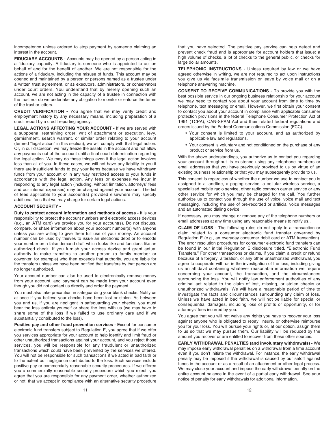incompetence unless ordered to stop payment by someone claiming an interest in the account.

**FIDUCIARY ACCOUNTS -** Accounts may be opened by a person acting in a fiduciary capacity. A fiduciary is someone who is appointed to act on behalf of and for the benefit of another. We are not responsible for the actions of a fiduciary, including the misuse of funds. This account may be opened and maintained by a person or persons named as a trustee under a written trust agreement, or as executors, administrators, or conservators under court orders. You understand that by merely opening such an account, we are not acting in the capacity of a trustee in connection with the trust nor do we undertake any obligation to monitor or enforce the terms of the trust or letters.

**CREDIT VERIFICATION -** You agree that we may verify credit and employment history by any necessary means, including preparation of a credit report by a credit reporting agency.

**LEGAL ACTIONS AFFECTING YOUR ACCOUNT -** If we are served with a subpoena, restraining order, writ of attachment or execution, levy, garnishment, search warrant, or similar order relating to your account (termed "legal action" in this section), we will comply with that legal action. Or, in our discretion, we may freeze the assets in the account and not allow any payments out of the account until a final court determination regarding the legal action. We may do these things even if the legal action involves less than all of you. In these cases, we will not have any liability to you if there are insufficient funds to pay your items because we have withdrawn funds from your account or in any way restricted access to your funds in accordance with the legal action. Any fees or expenses we incur in responding to any legal action (including, without limitation, attorneys' fees and our internal expenses) may be charged against your account. The list of fees applicable to your account(s) provided elsewhere may specify additional fees that we may charge for certain legal actions.

#### **ACCOUNT SECURITY -**

**Duty to protect account information and methods of access -** It is your responsibility to protect the account numbers and electronic access devices (e.g., an ATM card) we provide you for your account(s). Do not discuss, compare, or share information about your account number(s) with anyone unless you are willing to give them full use of your money. An account number can be used by thieves to issue an electronic debit or to encode your number on a false demand draft which looks like and functions like an authorized check. If you furnish your access device and grant actual authority to make transfers to another person (a family member or coworker, for example) who then exceeds that authority, you are liable for the transfers unless we have been notified that transfers by that person are no longer authorized.

Your account number can also be used to electronically remove money from your account, and payment can be made from your account even though you did not contact us directly and order the payment.

You must also take precaution in safeguarding your blank checks. Notify us at once if you believe your checks have been lost or stolen. As between you and us, if you are negligent in safeguarding your checks, you must bear the loss entirely yourself or share the loss with us (we may have to share some of the loss if we failed to use ordinary care and if we substantially contributed to the loss).

Positive pay and other fraud prevention services - Except for consumer electronic fund transfers subject to Regulation E, you agree that if we offer you services appropriate for your account to help identify and limit fraud or other unauthorized transactions against your account, and you reject those services, you will be responsible for any fraudulent or unauthorized transactions which could have been prevented by the services we offered. You will not be responsible for such transactions if we acted in bad faith or to the extent our negligence contributed to the loss. Such services include positive pay or commercially reasonable security procedures. If we offered you a commercially reasonable security procedure which you reject, you agree that you are responsible for any payment order, whether authorized or not, that we accept in compliance with an alternative security procedure that you have selected. The positive pay service can help detect and prevent check fraud and is appropriate for account holders that issue: a high volume of checks, a lot of checks to the general public, or checks for large dollar amounts.

**TELEPHONIC INSTRUCTIONS -** Unless required by law or we have agreed otherwise in writing, we are not required to act upon instructions you give us via facsimile transmission or leave by voice mail or on a telephone answering machine.

**CONSENT TO RECEIVE COMMUNICATIONS -** To provide you with the best possible service in our ongoing business relationship for your account we may need to contact you about your account from time to time by telephone, text messaging or email. However, we first obtain your consent to contact you about your account in compliance with applicable consumer protection provisions in the federal Telephone Consumer Protection Act of 1991 (TCPA), CAN-SPAM Act and their related federal regulations and orders issued by the Federal Communications Commission (FCC).

- Your consent is limited to your account, and as authorized by applicable law and regulations.
- Your consent is voluntary and not conditioned on the purchase of any product or service from us.

With the above understandings, you authorize us to contact you regarding your account throughout its existence using any telephone numbers or email addresses that you have previously provided to us by virtue of an existing business relationship or that you may subsequently provide to us.

This consent is regardless of whether the number we use to contact you is assigned to a landline, a paging service, a cellular wireless service, a specialized mobile radio service, other radio common carrier service or any other service for which you may be charged for the call. You further authorize us to contact you through the use of voice, voice mail and text messaging, including the use of pre-recorded or artificial voice messages and an automated dialing device.

If necessary, you may change or remove any of the telephone numbers or email addresses at any time using any reasonable means to notify us..

**CLAIM OF LOSS -** The following rules do not apply to a transaction or claim related to a consumer electronic fund transfer governed by Regulation E (e.g., an everyday consumer debit card or ATM transaction). The error resolution procedures for consumer electronic fund transfers can be found in our initial Regulation E disclosure titled, "Electronic Fund Transfers." For other transactions or claims, if you claim a credit or refund because of a forgery, alteration, or any other unauthorized withdrawal, you agree to cooperate with us in the investigation of the loss, including giving us an affidavit containing whatever reasonable information we require concerning your account, the transaction, and the circumstances surrounding the loss. You will notify law enforcement authorities of any criminal act related to the claim of lost, missing, or stolen checks or unauthorized withdrawals. We will have a reasonable period of time to investigate the facts and circumstances surrounding any claim of loss. Unless we have acted in bad faith, we will not be liable for special or consequential damages, including loss of profits or opportunity, or for attorneys' fees incurred by you.

You agree that you will not waive any rights you have to recover your loss against anyone who is obligated to repay, insure, or otherwise reimburse you for your loss. You will pursue your rights or, at our option, assign them to us so that we may pursue them. Our liability will be reduced by the amount you recover or are entitled to recover from these other sources.

**EARLY WITHDRAWAL PENALTIES (and involuntary withdrawals) -** We may impose early withdrawal penalties on a withdrawal from a time account even if you don't initiate the withdrawal. For instance, the early withdrawal penalty may be imposed if the withdrawal is caused by our setoff against funds in the account or as a result of an attachment or other legal process. We may close your account and impose the early withdrawal penalty on the entire account balance in the event of a partial early withdrawal. See your notice of penalty for early withdrawals for additional information.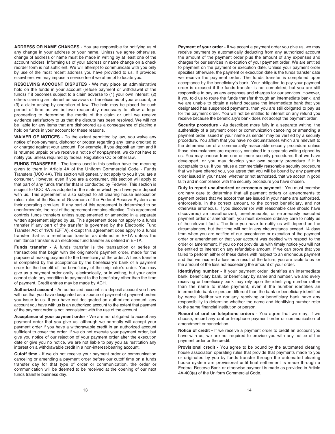**ADDRESS OR NAME CHANGES -** You are responsible for notifying us of any change in your address or your name. Unless we agree otherwise, change of address or name must be made in writing by at least one of the account holders. Informing us of your address or name change on a check reorder form is not sufficient. We will attempt to communicate with you only by use of the most recent address you have provided to us. If provided elsewhere, we may impose a service fee if we attempt to locate you.

**RESOLVING ACCOUNT DISPUTES** - We may place an administrative hold on the funds in your account (refuse payment or withdrawal of the funds) if it becomes subject to a claim adverse to (1) your own interest; (2) others claiming an interest as survivors or beneficiaries of your account; or (3) a claim arising by operation of law. The hold may be placed for such period of time as we believe reasonably necessary to allow a legal proceeding to determine the merits of the claim or until we receive evidence satisfactory to us that the dispute has been resolved. We will not be liable for any items that are dishonored as a consequence of placing a hold on funds in your account for these reasons.

**WAIVER OF NOTICES -** To the extent permitted by law, you waive any notice of non-payment, dishonor or protest regarding any items credited to or charged against your account. For example, if you deposit an item and it is returned unpaid or we receive a notice of nonpayment, we do not have to notify you unless required by federal Regulation CC or other law.

**FUNDS TRANSFERS -** The terms used in this section have the meaning given to them in Article 4A of the Uniform Commercial Code - Funds Transfers (UCC 4A). This section will generally not apply to you if you are a consumer. However, even if you are a consumer, this section will apply to that part of any funds transfer that is conducted by Fedwire. This section is subject to UCC 4A as adopted in the state in which you have your deposit with us. This agreement is also subject to all clearing house association rules, rules of the Board of Governors of the Federal Reserve System and their operating circulars. If any part of this agreement is determined to be unenforceable, the rest of the agreement remains effective. This agreement controls funds transfers unless supplemented or amended in a separate written agreement signed by us. This agreement does not apply to a funds transfer if any part of the transfer is governed by the Electronic Fund Transfer Act of 1978 (EFTA), except this agreement does apply to a funds transfer that is a remittance transfer as defined in EFTA unless the remittance transfer is an electronic fund transfer as defined in EFTA.

**Funds transfer -** A funds transfer is the transaction or series of transactions that begin with the originator's payment order, made for the purpose of making payment to the beneficiary of the order. A funds transfer is completed by the acceptance by the beneficiary's bank of a payment order for the benefit of the beneficiary of the originator's order. You may give us a payment order orally, electronically, or in writing, but your order cannot state any condition to payment to the beneficiary other than the time of payment. Credit entries may be made by ACH.

**Authorized account -** An authorized account is a deposit account you have with us that you have designated as a source of payment of payment orders you issue to us. If you have not designated an authorized account, any account you have with us is an authorized account to the extent that payment of the payment order is not inconsistent with the use of the account.

**Acceptance of your payment order -** We are not obligated to accept any payment order that you give us, although we normally will accept your payment order if you have a withdrawable credit in an authorized account sufficient to cover the order. If we do not execute your payment order, but give you notice of our rejection of your payment order after the execution date or give you no notice, we are not liable to pay you as restitution any interest on a withdrawable credit in a non-interest-bearing account.

**Cutoff time -** If we do not receive your payment order or communication canceling or amending a payment order before our cutoff time on a funds transfer day for that type of order or communication, the order or communication will be deemed to be received at the opening of our next funds transfer business day.

**Payment of your order -** If we accept a payment order you give us, we may receive payment by automatically deducting from any authorized account the amount of the payment order plus the amount of any expenses and charges for our services in execution of your payment order. We are entitled to payment on the payment or execution date. Unless your payment order specifies otherwise, the payment or execution date is the funds transfer date we receive the payment order. The funds transfer is completed upon acceptance by the beneficiary's bank. Your obligation to pay your payment order is excused if the funds transfer is not completed, but you are still responsible to pay us any expenses and charges for our services. However, if you told us to route the funds transfer through an intermediate bank, and we are unable to obtain a refund because the intermediate bank that you designated has suspended payments, then you are still obligated to pay us for the payment order. You will not be entitled to interest on any refund you receive because the beneficiary's bank does not accept the payment order.

**Security procedure -** As described more fully in a separate writing, the authenticity of a payment order or communication canceling or amending a payment order issued in your name as sender may be verified by a security procedure. You affirm that you have no circumstances which are relevant to the determination of a commercially reasonable security procedure unless those circumstances are expressly contained in a separate writing signed by us. You may choose from one or more security procedures that we have developed, or you may develop your own security procedure if it is acceptable to us. If you refuse a commercially reasonable security procedure that we have offered you, you agree that you will be bound by any payment order issued in your name, whether or not authorized, that we accept in good faith and in compliance with the security procedure you have chosen.

**Duty to report unauthorized or erroneous payment -** You must exercise ordinary care to determine that all payment orders or amendments to payment orders that we accept that are issued in your name are authorized, enforceable, in the correct amount, to the correct beneficiary, and not otherwise erroneous. If you discover (or with reasonable care should have discovered) an unauthorized, unenforceable, or erroneously executed payment order or amendment, you must exercise ordinary care to notify us of the relevant facts. The time you have to notify us will depend on the circumstances, but that time will not in any circumstance exceed 14 days from when you are notified of our acceptance or execution of the payment order or amendment or that your account was debited with respect to the order or amendment. If you do not provide us with timely notice you will not be entitled to interest on any refundable amount. If we can prove that you failed to perform either of these duties with respect to an erroneous payment and that we incurred a loss as a result of the failure, you are liable to us for the amount of the loss not exceeding the amount of your order.

**Identifying number -** If your payment order identifies an intermediate bank, beneficiary bank, or beneficiary by name and number, we and every receiving or beneficiary bank may rely upon the identifying number rather than the name to make payment, even if the number identifies an intermediate bank or person different than the bank or beneficiary identified by name. Neither we nor any receiving or beneficiary bank have any responsibility to determine whether the name and identifying number refer to the same financial institution or person.

**Record of oral or telephone orders -** You agree that we may, if we choose, record any oral or telephone payment order or communication of amendment or cancelation.

**Notice of credit -** If we receive a payment order to credit an account you have with us, we are not required to provide you with any notice of the payment order or the credit.

**Provisional credit -** You agree to be bound by the automated clearing house association operating rules that provide that payments made to you or originated by you by funds transfer through the automated clearing house system are provisional until final settlement is made through a Federal Reserve Bank or otherwise payment is made as provided in Article 4A-403(a) of the Uniform Commercial Code.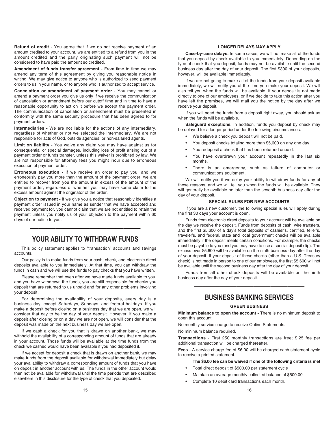**Refund of credit -** You agree that if we do not receive payment of an amount credited to your account, we are entitled to a refund from you in the amount credited and the party originating such payment will not be considered to have paid the amount so credited.

**Amendment of funds transfer agreement -** From time to time we may amend any term of this agreement by giving you reasonable notice in writing. We may give notice to anyone who is authorized to send payment orders to us in your name, or to anyone who is authorized to accept service.

**Cancelation or amendment of payment order -** You may cancel or amend a payment order you give us only if we receive the communication of cancelation or amendment before our cutoff time and in time to have a reasonable opportunity to act on it before we accept the payment order. The communication of cancelation or amendment must be presented in conformity with the same security procedure that has been agreed to for payment orders.

**Intermediaries -** We are not liable for the actions of any intermediary, regardless of whether or not we selected the intermediary. We are not responsible for acts of God, outside agencies, or non-salaried agents.

**Limit on liability -** You waive any claim you may have against us for consequential or special damages, including loss of profit arising out of a payment order or funds transfer, unless this waiver is prohibited by law. We are not responsible for attorney fees you might incur due to erroneous execution of payment order.

**Erroneous execution -** If we receive an order to pay you, and we erroneously pay you more than the amount of the payment order, we are entitled to recover from you the amount in excess of the amount of the payment order, regardless of whether you may have some claim to the excess amount against the originator of the order.

**Objection to payment -** If we give you a notice that reasonably identifies a payment order issued in your name as sender that we have accepted and received payment for, you cannot claim that we are not entitled to retain the payment unless you notify us of your objection to the payment within 60 days of our notice to you.

# **YOUR ABILITY TO WITHDRAW FUNDS**

—————————————

This policy statement applies to "transaction" accounts and savings accounts.

Our policy is to make funds from your cash, check, and electronic direct deposits available to you immediately. At that time, you can withdraw the funds in cash and we will use the funds to pay checks that you have written.

Please remember that even after we have made funds available to you, and you have withdrawn the funds, you are still responsible for checks you deposit that are returned to us unpaid and for any other problems involving your deposit.

For determining the availability of your deposits, every day is a business day, except Saturdays, Sundays, and federal holidays. If you make a deposit before closing on a business day that we are open, we will consider that day to be the day of your deposit. However, if you make a deposit after closing or on a day we are not open, we will consider that the deposit was made on the next business day we are open.

If we cash a check for you that is drawn on another bank, we may withhold the availability of a corresponding amount of funds that are already in your account. Those funds will be available at the time funds from the check we cashed would have been available if you had deposited it.

If we accept for deposit a check that is drawn on another bank, we may make funds from the deposit available for withdrawal immediately but delay your availability to withdraw a corresponding amount of funds that you have on deposit in another account with us. The funds in the other account would then not be available for withdrawal until the time periods that are described elsewhere in this disclosure for the type of check that you deposited.

## **LONGER DELAYS MAY APPLY**

**Case-by-case delays.** In some cases, we will not make all of the funds that you deposit by check available to you immediately. Depending on the type of check that you deposit, funds may not be available until the second business day after the day of your deposit. The first \$300 of your deposits, however, will be available immediately.

If we are not going to make all of the funds from your deposit available immediately, we will notify you at the time you make your deposit. We will also tell you when the funds will be available. If your deposit is not made directly to one of our employees, or if we decide to take this action after you have left the premises, we will mail you the notice by the day after we receive your deposit.

If you will need the funds from a deposit right away, you should ask us when the funds will be available.

Safeguard exceptions. In addition, funds you deposit by check may be delayed for a longer period under the following circumstances:

- We believe a check you deposit will not be paid.
- You deposit checks totaling more than \$5,600 on any one day.
- You redeposit a check that has been returned unpaid.
- You have overdrawn your account repeatedly in the last six months.
- There is an emergency, such as failure of computer or communications equipment.

We will notify you if we delay your ability to withdraw funds for any of these reasons, and we will tell you when the funds will be available. They will generally be available no later than the seventh business day after the day of your deposit.

# **SPECIAL RULES FOR NEW ACCOUNTS**

If you are a new customer, the following special rules will apply during the first 30 days your account is open.

Funds from electronic direct deposits to your account will be available on the day we receive the deposit. Funds from deposits of cash, wire transfers, and the first \$5,600 of a day's total deposits of cashier's, certified, teller's, traveler's, and federal, state and local government checks will be available immediately if the deposit meets certain conditions. For example, the checks must be payable to you (and you may have to use a special deposit slip). The excess over \$5,600 will be available on the ninth business day after the day of your deposit. If your deposit of these checks (other than a U.S. Treasury check) is not made in person to one of our employees, the first \$5,600 will not be available until the second business day after the day of your deposit.

Funds from all other check deposits will be available on the ninth business day after the day of your deposit.

# **BUSINESS BANKING SERVICES**

—————————————

#### **GREEN BUSINESS**

**Minimum balance to open the account -** There is no minimum deposit to open this account.

No monthly service charge to receive Online Statements.

No minimum balance required.

**Transactions -** First 250 monthly transactions are free; \$.25 fee per additional transaction will be charged thereafter.

**Fees -** A service charge fee of \$6.00 will be charged each statement cycle to receive a printed statement.

- **The \$6.00 fee can be waived if one of the following criteria is met** 
	- Total direct deposit of \$500.00 per statement cycle
- Maintain an average monthly collected balance of \$500.00
- Complete 10 debit card transactions each month.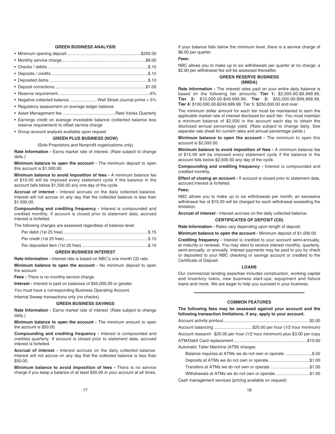# **GREEN BUSINESS ANALYSIS**

| • Negative collected balance Wall Street Journal prime + 5%                                                              |  |
|--------------------------------------------------------------------------------------------------------------------------|--|
| • Regulatory assessment on average ledger balance                                                                        |  |
|                                                                                                                          |  |
| • Earnings credit on average investable balance (collected balance less<br>reserve requirement) to offset service charge |  |

• Group account analysis available upon request

#### **GREEN PLUS BUSINESS (NOW)**

(Sole-Proprietors and Nonprofit organizations only)

**Rate Information -** Earns market rate of interest. (Rate subject to change daily.)

**Minimum balance to open the account -** The minimum deposit to open this account is \$1,500.00.

**Minimum balance to avoid imposition of fees -** A minimum balance fee of \$10.00 will be imposed every statement cycle if the balance in the account falls below \$1,500.00 any one day of the cycle.

**Accrual of interest -** Interest accrues on the daily collected balance. Interest will not accrue on any day that the collected balance is less than \$1,500.00.

**Compounding and crediting frequency -** Interest is compounded and credited monthly. If account is closed prior to statement date, accrued interest is forfeited.

The following charges are assessed regardless of balance level:

## **GREEN BUSINESS INTEREST**

**Rate Information -** Interest rate is based on NBC's one month CD rate.

**Minimum balance to open the account -** No minimum deposit to open the account.

**Fees -** There is no monthly service charge.

**Interest -** Interest is paid on balances of \$50,000.00 or greater.

You must have a corresponding Business Operating Account.

Internal Sweep transactions only (no checks).

#### **GREEN BUSINESS SAVINGS**

**Rate Information -** Earns market rate of interest. (Rate subject to change daily.)

**Minimum balance to open the account -** The minimum amount to open the account is \$50.00.

**Compounding and crediting frequency -** Interest is compounded and credited quarterly. If account is closed prior to statement date, accrued interest is forfeited.

**Accrual of interest -** Interest accrues on the daily collected balance. Interest will not accrue on any day that the collected balance is less than \$50.00.

**Minimum balance to avoid imposition of fees -** There is no service charge if you keep a balance of at least \$50.00 in your account at all times.

If your balance falls below the minimum level, there is a service charge of \$6.00 per quarter.

#### **Fees:**

NBC allows you to make up to six withdrawals per quarter at no charge; a \$2.00 per withdrawal fee will be assessed thereafter.

## **GREEN RESERVE BUSINESS (MMDA)**

**Rate Information -** The interest rates paid on your entire daily balance is based on the following tier amounts: **Tier 1:** \$2,500.00-\$9,999.99, **Tier 2:** \$10,000.00-\$49,999.99, **Tier 3:** \$50,000.00-\$99,999.99, **Tier 4:** \$100,000.00-\$249,999.99, Tier 5: \$250,000.00 and over.

The minimum dollar amount for each tier must be maintained to earn the applicable market rate of interest disclosed for each tier. You must maintain a minimum balance of \$2,500 in the account each day to obtain the disclosed annual percentage yield. (Rate subject to change daily. See separate rate sheet for current rates and annual percentage yields.)

**Minimum balance to open the account -** The minimum to open this account is \$2,500.00.

**Minimum balance to avoid imposition of fees -** A minimum balance fee of \$15.00 will be imposed every statement cycle if the balance in the account falls below \$2,500.00 any day of the cycle.

**Compounding and crediting frequency -** Interest is compounded and credited monthly.

**Effect of closing an account -** If account is closed prior to statement date, accrued interest is forfeited.

# **Fees:**

NBC allows you to make up to six withdrawals per month; an excessive withdrawal fee of \$15.00 will be charged for each withdrawal exceeding the limitation.

**Accrual of interest -** Interest accrues on the daily collected balance.

## **CERTIFICATES OF DEPOSIT (CD)**

**Rate Information -** Rates vary depending upon length of deposit.

**Minimum balance to open the account -** Minimum deposit of \$1,000.00

**Crediting frequency -** Interest is credited to your account semi-annually, at maturity or renewal. You may elect to receive interest monthly, quarterly, semi-annually, or annually. Interest payments may be paid to you by check or deposited to your NBC checking or savings account or credited to the Certificate of Deposit.

#### **LOANS**

Our commercial lending expertise includes construction, working capital and inventory loans, new business start-ups, equipment and fixture loans and more. We are eager to help you succeed in your business.

# ————————————— **COMMON FEATURES**

| The following fees may be assessed against your account and the<br>following transaction limitations, if any, apply to your account. |  |
|--------------------------------------------------------------------------------------------------------------------------------------|--|
|                                                                                                                                      |  |
| Account balancing\$20.00 per hour (1/2 hour minimum)                                                                                 |  |
| Account research .\$20.00 per hour (1/2 hour minimum) plus \$3.00 per copy                                                           |  |
|                                                                                                                                      |  |
| Automatic Teller Machine (ATM) charges                                                                                               |  |
| Balance inquiries at ATMs we do not own or operate \$.50                                                                             |  |
| Deposits at ATMs we do not own or operate\$1.00                                                                                      |  |
| Transfers at ATMs we do not own or operate \$1.00                                                                                    |  |
| Withdrawals at ATMs we do not own or operate\$1.00                                                                                   |  |
| Cash management services (pricing available on request)                                                                              |  |